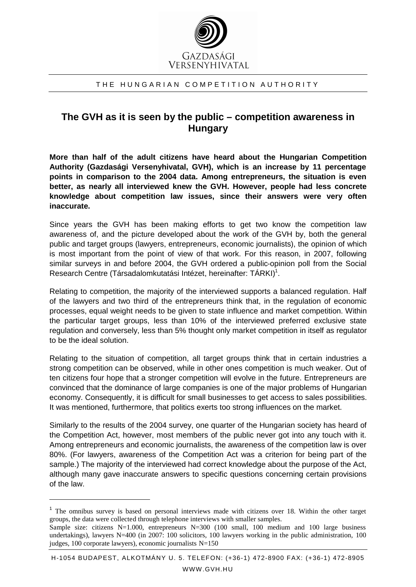

## THE HUNGARIAN COMPETITION AUTHORITY

## **The GVH as it is seen by the public – competition awareness in Hungary**

**More than half of the adult citizens have heard about the Hungarian Competition Authority (Gazdasági Versenyhivatal, GVH), which is an increase by 11 percentage points in comparison to the 2004 data. Among entrepreneurs, the situation is even better, as nearly all interviewed knew the GVH. However, people had less concrete knowledge about competition law issues, since their answers were very often inaccurate.** 

Since years the GVH has been making efforts to get two know the competition law awareness of, and the picture developed about the work of the GVH by, both the general public and target groups (lawyers, entrepreneurs, economic journalists), the opinion of which is most important from the point of view of that work. For this reason, in 2007, following similar surveys in and before 2004, the GVH ordered a public-opinion poll from the Social Research Centre (Társadalomkutatási Intézet, hereinafter: TÁRKI)<sup>1</sup>.

Relating to competition, the majority of the interviewed supports a balanced regulation. Half of the lawyers and two third of the entrepreneurs think that, in the regulation of economic processes, equal weight needs to be given to state influence and market competition. Within the particular target groups, less than 10% of the interviewed preferred exclusive state regulation and conversely, less than 5% thought only market competition in itself as regulator to be the ideal solution.

Relating to the situation of competition, all target groups think that in certain industries a strong competition can be observed, while in other ones competition is much weaker. Out of ten citizens four hope that a stronger competition will evolve in the future. Entrepreneurs are convinced that the dominance of large companies is one of the major problems of Hungarian economy. Consequently, it is difficult for small businesses to get access to sales possibilities. It was mentioned, furthermore, that politics exerts too strong influences on the market.

Similarly to the results of the 2004 survey, one quarter of the Hungarian society has heard of the Competition Act, however, most members of the public never got into any touch with it. Among entrepreneurs and economic journalists, the awareness of the competition law is over 80%. (For lawyers, awareness of the Competition Act was a criterion for being part of the sample.) The majority of the interviewed had correct knowledge about the purpose of the Act, although many gave inaccurate answers to specific questions concerning certain provisions of the law.

<sup>&</sup>lt;sup>1</sup> The omnibus survey is based on personal interviews made with citizens over 18. Within the other target groups, the data were collected through telephone interviews with smaller samples.

Sample size: citizens N=1.000, entrepreneurs N=300 (100 small, 100 medium and 100 large business undertakings), lawyers N=400 (in 2007: 100 solicitors, 100 lawyers working in the public administration, 100 judges, 100 corporate lawyers), economic journalists N=150